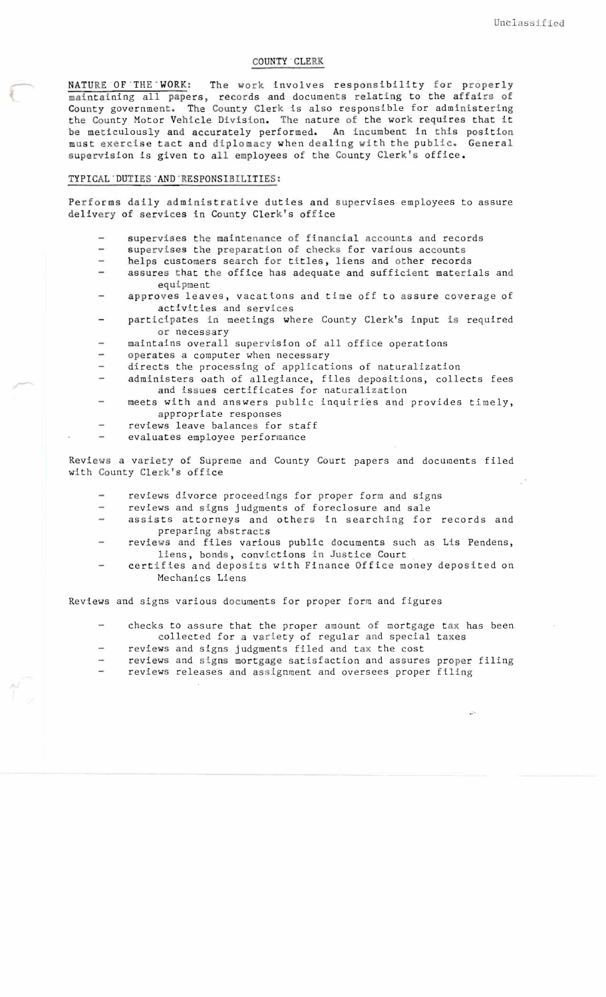## COUNTY CLERK

NATURE OF THE WORK: The work involves responsibility for properly maintaining all papers, records and documents relating to the affairs of County government. The County Clerk is also responsible for administering the County Motor Vehicle Division. The nature of the work requires that it be meticulously and accurately performed. An incumbent in this position must exercise tact and diplomacy when dealing with the public. General supervision is given to all employees of the County Clerk's office.

## TYPICAL DUTIES AND RESPONSIBILITIES:

Performs daily administrative duties and supervises employees to assure delivery of services in County Clerk's office

- supervises the maintenance of financial accounts and records
- $\overline{\phantom{a}}$ supervises the preparation of checks for various accounts
- helps customers search for titles, liens and other records
- assures that the office has adequate and sufficient materials and equipment
- approves leaves, vacations and time off to assure coverage of activities and services
- participates in meetings where County Clerk's input is required or necessary
- maintains overall supervision of all office operations
- operates a computer when necessary
- directs the processing of applications of naturalization
- administers oath of allegiance, files depositions, collects fees and issues certificates for naturalization
- meets with and answers public inquiries and provides timely, appropriate responses
- reviews leave balances for staff  $\overline{\phantom{0}}$
- evaluates employee performance

Reviews a variety of Supreme and County Court papers and documents filed with County Clerk's office

- reviews divorce proceedings for proper form and signs
- reviews and signs judgments of foreclosure and sale
- assists attorneys and others in searching for records and preparing abstracts
- reviews and files various public documents such as Lis Pendens, liens, bonds, convictions in Justice Court
- certifies and deposits with Finance Office money deposited on Mechanics Liens

Reviews and signs various documents for proper form and figures

- checks to assure that the proper amount of mortgage tax has been collected for a variety of regular and special taxes
- reviews and signs judgments filed and tax the cost
- reviews and signs mortgage satisfaction and assures proper filing reviews releases and assIgnment and oversees proper filing

•....